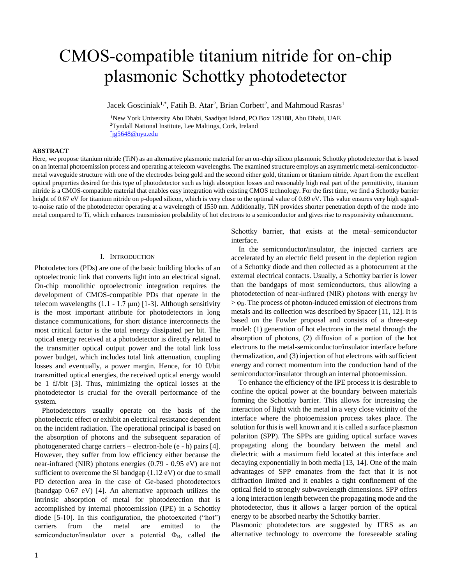# CMOS-compatible titanium nitride for on-chip plasmonic Schottky photodetector

Jacek Gosciniak<sup>1,\*</sup>, Fatih B. Atar<sup>2</sup>, Brian Corbett<sup>2</sup>, and Mahmoud Rasras<sup>1</sup>

<sup>1</sup>New York University Abu Dhabi, Saadiyat Island, PO Box 129188, Abu Dhabi, UAE <sup>2</sup>Tyndall National Institute, Lee Maltings, Cork, Ireland \* [jg5648@nyu.edu](mailto:*jg5648@nyu.edu)

**ABSTRACT**

Here, we propose titanium nitride (TiN) as an alternative plasmonic material for an on-chip silicon plasmonic Schottky photodetector that is based on an internal photoemission process and operating at telecom wavelengths. The examined structure employs an asymmetric metal-semiconductormetal waveguide structure with one of the electrodes being gold and the second either gold, titanium or titanium nitride. Apart from the excellent optical properties desired for this type of photodetector such as high absorption losses and reasonably high real part of the permittivity, titanium nitride is a CMOS-compatible material that enables easy integration with existing CMOS technology. For the first time, we find a Schottky barrier height of 0.67 eV for titanium nitride on p-doped silicon, which is very close to the optimal value of 0.69 eV. This value ensures very high signalto-noise ratio of the photodetector operating at a wavelength of 1550 nm. Additionally, TiN provides shorter penetration depth of the mode into metal compared to Ti, which enhances transmission probability of hot electrons to a semiconductor and gives rise to responsivity enhancement.

#### I. INTRODUCTION

Photodetectors (PDs) are one of the basic building blocks of an optoelectronic link that converts light into an electrical signal. On-chip monolithic optoelectronic integration requires the development of CMOS-compatible PDs that operate in the telecom wavelengths  $(1.1 - 1.7 \mu m)$  [1-3]. Although sensitivity is the most important attribute for photodetectors in long distance communications, for short distance interconnects the most critical factor is the total energy dissipated per bit. The optical energy received at a photodetector is directly related to the transmitter optical output power and the total link loss power budget, which includes total link attenuation, coupling losses and eventually, a power margin. Hence, for 10 fJ/bit transmitted optical energies, the received optical energy would be 1 fJ/bit [3]. Thus, minimizing the optical losses at the photodetector is crucial for the overall performance of the system.

Photodetectors usually operate on the basis of the photoelectric effect or exhibit an electrical resistance dependent on the incident radiation. The operational principal is based on the absorption of photons and the subsequent separation of photogenerated charge carriers – electron-hole (e - h) pairs [4]. However, they suffer from low efficiency either because the near-infrared (NIR) photons energies (0.79 - 0.95 eV) are not sufficient to overcome the Si bandgap (1.12 eV) or due to small PD detection area in the case of Ge-based photodetectors (bandgap 0.67 eV) [4]. An alternative approach utilizes the intrinsic absorption of metal for photodetection that is accomplished by internal photoemission (IPE) in a Schottky diode [5-10]. In this configuration, the photoexcited ("hot") carriers from the metal are emitted to the semiconductor/insulator over a potential  $\Phi_B$ , called the

Schottky barrier, that exists at the metal−semiconductor interface.

In the semiconductor/insulator, the injected carriers are accelerated by an electric field present in the depletion region of a Schottky diode and then collected as a photocurrent at the external electrical contacts. Usually, a Schottky barrier is lower than the bandgaps of most semiconductors, thus allowing a photodetection of near-infrared (NIR) photons with energy hν  $> \varphi_B$ . The process of photon-induced emission of electrons from metals and its collection was described by Spacer [11, 12]. It is based on the Fowler proposal and consists of a three-step model: (1) generation of hot electrons in the metal through the absorption of photons, (2) diffusion of a portion of the hot electrons to the metal-semiconductor/insulator interface before thermalization, and (3) injection of hot electrons with sufficient energy and correct momentum into the conduction band of the semiconductor/insulator through an internal photoemission.

To enhance the efficiency of the IPE process it is desirable to confine the optical power at the boundary between materials forming the Schottky barrier. This allows for increasing the interaction of light with the metal in a very close vicinity of the interface where the photoemission process takes place. The solution for this is well known and it is called a surface plasmon polariton (SPP). The SPPs are guiding optical surface waves propagating along the boundary between the metal and dielectric with a maximum field located at this interface and decaying exponentially in both media [13, 14]. One of the main advantages of SPP emanates from the fact that it is not diffraction limited and it enables a tight confinement of the optical field to strongly subwavelength dimensions. SPP offers a long interaction length between the propagating mode and the photodetector, thus it allows a larger portion of the optical energy to be absorbed nearby the Schottky barrier.

Plasmonic photodetectors are suggested by ITRS as an alternative technology to overcome the foreseeable scaling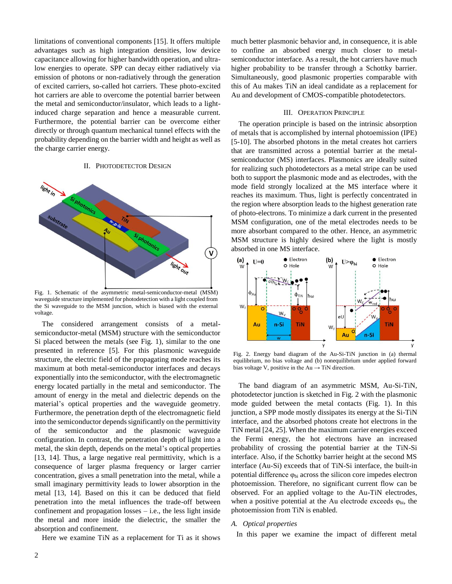limitations of conventional components [15]. It offers multiple advantages such as high integration densities, low device capacitance allowing for higher bandwidth operation, and ultralow energies to operate. SPP can decay either radiatively via emission of photons or non-radiatively through the generation of excited carriers, so-called hot carriers. These photo-excited hot carriers are able to overcome the potential barrier between the metal and semiconductor/insulator, which leads to a lightinduced charge separation and hence a measurable current. Furthermore, the potential barrier can be overcome either directly or through quantum mechanical tunnel effects with the probability depending on the barrier width and height as well as the charge carrier energy.

# II. PHOTODETECTOR DESIGN



Fig. 1. Schematic of the asymmetric metal-semiconductor-metal (MSM) waveguide structure implemented for photodetection with a light coupled from the Si waveguide to the MSM junction, which is biased with the external voltage.

The considered arrangement consists of a metalsemiconductor-metal (MSM) structure with the semiconductor Si placed between the metals (see Fig. 1), similar to the one presented in reference [5]. For this plasmonic waveguide structure, the electric field of the propagating mode reaches its maximum at both metal-semiconductor interfaces and decays exponentially into the semiconductor, with the electromagnetic energy located partially in the metal and semiconductor. The amount of energy in the metal and dielectric depends on the material's optical properties and the waveguide geometry. Furthermore, the penetration depth of the electromagnetic field into the semiconductor depends significantly on the permittivity of the semiconductor and the plasmonic waveguide configuration. In contrast, the penetration depth of light into a metal, the skin depth, depends on the metal's optical properties [13, 14]. Thus, a large negative real permittivity, which is a consequence of larger plasma frequency or larger carrier concentration, gives a small penetration into the metal, while a small imaginary permittivity leads to lower absorption in the metal [13, 14]. Based on this it can be deduced that field penetration into the metal influences the trade-off between confinement and propagation losses  $-$  i.e., the less light inside the metal and more inside the dielectric, the smaller the absorption and confinement.

Here we examine TiN as a replacement for Ti as it shows

much better plasmonic behavior and, in consequence, it is able to confine an absorbed energy much closer to metalsemiconductor interface. As a result, the hot carriers have much higher probability to be transfer through a Schottky barrier. Simultaneously, good plasmonic properties comparable with this of Au makes TiN an ideal candidate as a replacement for Au and development of CMOS-compatible photodetectors.

#### III. OPERATION PRINCIPLE

The operation principle is based on the intrinsic absorption of metals that is accomplished by internal photoemission (IPE) [5-10]. The absorbed photons in the metal creates hot carriers that are transmitted across a potential barrier at the metalsemiconductor (MS) interfaces. Plasmonics are ideally suited for realizing such photodetectors as a metal stripe can be used both to support the plasmonic mode and as electrodes, with the mode field strongly localized at the MS interface where it reaches its maximum. Thus, light is perfectly concentrated in the region where absorption leads to the highest generation rate of photo-electrons. To minimize a dark current in the presented MSM configuration, one of the metal electrodes needs to be more absorbant compared to the other. Hence, an asymmetric MSM structure is highly desired where the light is mostly absorbed in one MS interface.



Fig. 2. Energy band diagram of the Au-Si-TiN junction in (a) thermal equilibrium, no bias voltage and (b) nonequilibrium under applied forward bias voltage V, positive in the  $Au \rightarrow TiN$  direction.

The band diagram of an asymmetric MSM, Au-Si-TiN, photodetector junction is sketched in Fig. 2 with the plasmonic mode guided between the metal contacts (Fig. 1). In this junction, a SPP mode mostly dissipates its energy at the Si-TiN interface, and the absorbed photons create hot electrons in the TiN metal [24, 25]. When the maximum carrier energies exceed the Fermi energy, the hot electrons have an increased probability of crossing the potential barrier at the TiN-Si interface. Also, if the Schottky barrier height at the second MS interface (Au-Si) exceeds that of TiN-Si interface, the built-in potential difference  $\varphi_{bi}$  across the silicon core impedes electron photoemission. Therefore, no significant current flow can be observed. For an applied voltage to the Au-TiN electrodes, when a positive potential at the Au electrode exceeds  $\varphi_{\text{bi}}$ , the photoemission from TiN is enabled.

#### *A. Optical properties*

In this paper we examine the impact of different metal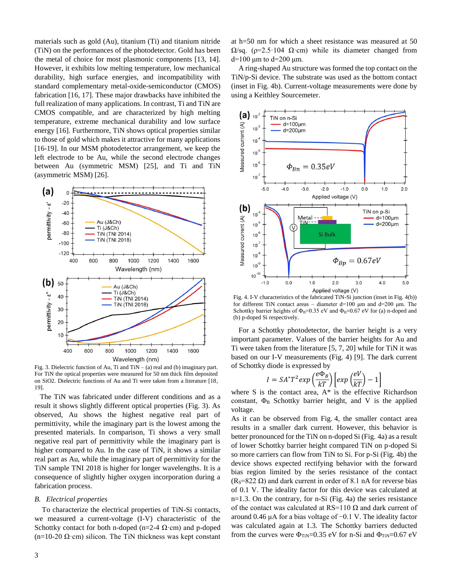materials such as gold (Au), titanium (Ti) and titanium nitride (TiN) on the performances of the photodetector. Gold has been the metal of choice for most plasmonic components [13, 14]. However, it exhibits low melting temperature, low mechanical durability, high surface energies, and incompatibility with standard complementary metal-oxide-semiconductor (CMOS) fabrication [16, 17]. These major drawbacks have inhibited the full realization of many applications. In contrast, Ti and TiN are CMOS compatible, and are characterized by high melting temperature, extreme mechanical durability and low surface energy [16]. Furthermore, TiN shows optical properties similar to those of gold which makes it attractive for many applications [16-19]. In our MSM photodetector arrangement, we keep the left electrode to be Au, while the second electrode changes between Au (symmetric MSM) [25], and Ti and TiN (asymmetric MSM) [26].



Fig. 3. Dielectric function of Au, Ti and  $TiN - (a)$  real and (b) imaginary part. For TiN the optical properties were measured for 50 nm thick film deposited on SiO2. Dielectric functions of Au and Ti were taken from a literature [18, 19].

The TiN was fabricated under different conditions and as a result it shows slightly different optical properties (Fig. 3). As observed, Au shows the highest negative real part of permittivity, while the imaginary part is the lowest among the presented materials. In comparison, Ti shows a very small negative real part of permittivity while the imaginary part is higher compared to Au. In the case of TiN, it shows a similar real part as Au, while the imaginary part of permittivity for the TiN sample TNI 2018 is higher for longer wavelengths. It is a consequence of slightly higher oxygen incorporation during a fabrication process.

#### *B. Electrical properties*

To characterize the electrical properties of TiN-Si contacts, we measured a current-voltage (I-V) characteristic of the Schottky contact for both n-doped (n=2-4  $\Omega$ ·cm) and p-doped (n=10-20  $\Omega$ ·cm) silicon. The TiN thickness was kept constant

at h=50 nm for which a sheet resistance was measured at 50  $Ω$ /sq. (ρ=2.5·104 Ω·cm) while its diameter changed from d=100 μm to d=200 μm.

A ring-shaped Au structure was formed the top contact on the TiN/p-Si device. The substrate was used as the bottom contact (inset in Fig. 4b). Current-voltage measurements were done by using a Keithley Sourcemeter.



Fig. 4. I-V characteristics of the fabricated TiN-Si junction (inset in Fig. 4(b)) for different TiN contact areas – diameter d=100 μm and d=200 μm. The Schottky barrier heights of  $\Phi_B=0.35$  eV and  $\Phi_B=0.67$  eV for (a) n-doped and (b) p-doped Si respectively.

For a Schottky photodetector, the barrier height is a very important parameter. Values of the barrier heights for Au and Ti were taken from the literature [5, 7, 20] while for TiN it was based on our I-V measurements (Fig. 4) [9]. The dark current of Schottky diode is expressed by

$$
I = SA^* T^2 exp\left(\frac{e\Phi_B}{kT}\right) \left[ exp\left(\frac{eV}{kT}\right) - 1\right]
$$

where S is the contact area,  $A^*$  is the effective Richardson constant,  $\Phi_B$  Schottky barrier height, and V is the applied voltage.

As it can be observed from Fig. 4, the smaller contact area results in a smaller dark current. However, this behavior is better pronounced for the TiN on n-doped Si (Fig. 4a) as a result of lower Schottky barrier height compared TiN on p-doped Si so more carriers can flow from TiN to Si. For p-Si (Fig. 4b) the device shows expected rectifying behavior with the forward bias region limited by the series resistance of the contact  $(R<sub>S</sub>=822 \Omega)$  and dark current in order of 8.1 nA for reverse bias of 0.1 V. The ideality factor for this device was calculated at n=1.3. On the contrary, for n-Si (Fig. 4a) the series resistance of the contact was calculated at RS=110  $\Omega$  and dark current of around 0.46 μA for a bias voltage of −0.1 V. The ideality factor was calculated again at 1.3. The Schottky barriers deducted from the curves were  $\Phi_{TiN}=0.35$  eV for n-Si and  $\Phi_{TiN}=0.67$  eV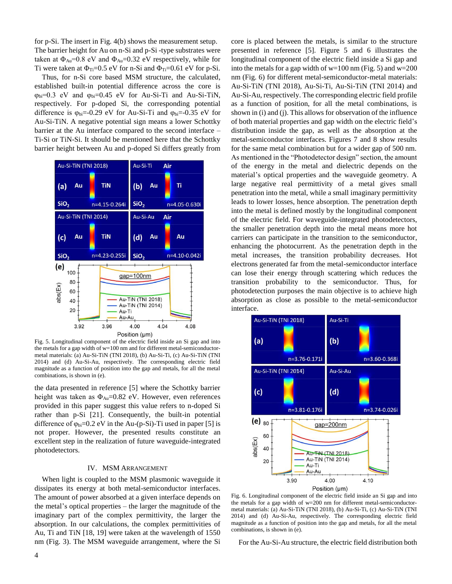for p-Si. The insert in Fig. 4(b) shows the measurement setup. The barrier height for Au on n-Si and p-Si -type substrates were taken at  $\Phi_{Au}$ =0.8 eV and  $\Phi_{Au}$ =0.32 eV respectively, while for Ti were taken at  $\Phi_{Ti}=0.5$  eV for n-Si and  $\Phi_{Ti}=0.61$  eV for p-Si.

Thus, for n-Si core based MSM structure, the calculated, established built-in potential difference across the core is  $\varphi_{bi}=0.3$  eV and  $\varphi_{bi}=0.45$  eV for Au-Si-Ti and Au-Si-TiN, respectively. For p-doped Si, the corresponding potential difference is  $\varphi_{bi} = -0.29$  eV for Au-Si-Ti and  $\varphi_{bi} = -0.35$  eV for Au-Si-TiN. A negative potential sign means a lower Schottky barrier at the Au interface compared to the second interface – Ti-Si or TiN-Si. It should be mentioned here that the Schottky barrier height between Au and p-doped Si differs greatly from



Fig. 5. Longitudinal component of the electric field inside an Si gap and into the metals for a gap width of w=100 nm and for different metal-semiconductormetal materials: (a) Au-Si-TiN (TNI 2018), (b) Au-Si-Ti, (c) Au-Si-TiN (TNI 2014) and (d) Au-Si-Au, respectively. The corresponding electric field magnitude as a function of position into the gap and metals, for all the metal combinations, is shown in (e).

the data presented in reference [5] where the Schottky barrier height was taken as  $\Phi_{Au} = 0.82$  eV. However, even references provided in this paper suggest this value refers to n-doped Si rather than p-Si [21]. Consequently, the built-in potential difference of  $\varphi_{bi}=0.2$  eV in the Au-(p-Si)-Ti used in paper [5] is not proper. However, the presented results constitute an excellent step in the realization of future waveguide-integrated photodetectors.

# IV. MSM ARRANGEMENT

When light is coupled to the MSM plasmonic waveguide it dissipates its energy at both metal-semiconductor interfaces. The amount of power absorbed at a given interface depends on the metal's optical properties – the larger the magnitude of the imaginary part of the complex permittivity, the larger the absorption. In our calculations, the complex permittivities of Au, Ti and TiN [18, 19] were taken at the wavelength of 1550 nm (Fig. 3). The MSM waveguide arrangement, where the Si core is placed between the metals, is similar to the structure presented in reference [5]. Figure 5 and 6 illustrates the longitudinal component of the electric field inside a Si gap and into the metals for a gap width of w=100 nm (Fig. 5) and w=200 nm (Fig. 6) for different metal-semiconductor-metal materials: Au-Si-TiN (TNI 2018), Au-Si-Ti, Au-Si-TiN (TNI 2014) and Au-Si-Au, respectively. The corresponding electric field profile as a function of position, for all the metal combinations, is shown in (i) and (j). This allows for observation of the influence of both material properties and gap width on the electric field's distribution inside the gap, as well as the absorption at the metal-semiconductor interfaces. Figures 7 and 8 show results for the same metal combination but for a wider gap of 500 nm. As mentioned in the "Photodetector design" section, the amount of the energy in the metal and dielectric depends on the material's optical properties and the waveguide geometry. A large negative real permittivity of a metal gives small penetration into the metal, while a small imaginary permittivity leads to lower losses, hence absorption. The penetration depth into the metal is defined mostly by the longitudinal component of the electric field. For waveguide-integrated photodetectors, the smaller penetration depth into the metal means more hot carriers can participate in the transition to the semiconductor, enhancing the photocurrent. As the penetration depth in the metal increases, the transition probability decreases. Hot electrons generated far from the metal-semiconductor interface can lose their energy through scattering which reduces the transition probability to the semiconductor. Thus, for photodetection purposes the main objective is to achieve high absorption as close as possible to the metal-semiconductor interface.



Fig. 6. Longitudinal component of the electric field inside an Si gap and into the metals for a gap width of w=200 nm for different metal-semiconductormetal materials: (a) Au-Si-TiN (TNI 2018), (b) Au-Si-Ti, (c) Au-Si-TiN (TNI 2014) and (d) Au-Si-Au, respectively. The corresponding electric field magnitude as a function of position into the gap and metals, for all the metal combinations, is shown in (e).

For the Au-Si-Au structure, the electric field distribution both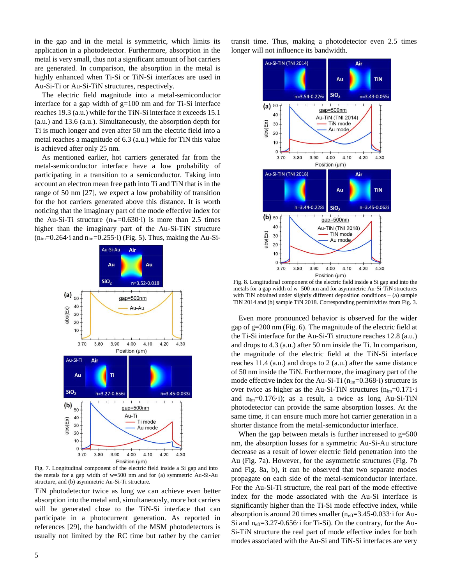in the gap and in the metal is symmetric, which limits its application in a photodetector. Furthermore, absorption in the metal is very small, thus not a significant amount of hot carriers are generated. In comparison, the absorption in the metal is highly enhanced when Ti-Si or TiN-Si interfaces are used in Au-Si-Ti or Au-Si-TiN structures, respectively.

The electric field magnitude into a metal-semiconductor interface for a gap width of  $g=100$  nm and for Ti-Si interface reaches 19.3 (a.u.) while for the TiN-Si interface it exceeds 15.1 (a.u.) and 13.6 (a.u.). Simultaneously, the absorption depth for Ti is much longer and even after 50 nm the electric field into a metal reaches a magnitude of 6.3 (a.u.) while for TiN this value is achieved after only 25 nm.

As mentioned earlier, hot carriers generated far from the metal-semiconductor interface have a low probability of participating in a transition to a semiconductor. Taking into account an electron mean free path into Ti and TiN that is in the range of 50 nm [27], we expect a low probability of transition for the hot carriers generated above this distance. It is worth noticing that the imaginary part of the mode effective index for the Au-Si-Ti structure  $(n_{im}=0.630 \cdot i)$  is more than 2.5 times higher than the imaginary part of the Au-Si-TiN structure  $(n_{im}=0.264 \cdot i$  and  $n_{im}=0.255 \cdot i)$  (Fig. 5). Thus, making the Au-Si-



Fig. 7. Longitudinal component of the electric field inside a Si gap and into the metals for a gap width of w=500 nm and for (a) symmetric Au-Si-Au structure, and (b) asymmetric Au-Si-Ti structure.

TiN photodetector twice as long we can achieve even better absorption into the metal and, simultaneously, more hot carriers will be generated close to the TiN-Si interface that can participate in a photocurrent generation. As reported in references [29], the bandwidth of the MSM photodetectors is usually not limited by the RC time but rather by the carrier transit time. Thus, making a photodetector even 2.5 times longer will not influence its bandwidth.



Fig. 8. Longitudinal component of the electric field inside a Si gap and into the metals for a gap width of w=500 nm and for asymmetric Au-Si-TiN structures with TiN obtained under slightly different deposition conditions - (a) sample TiN 2014 and (b) sample TiN 2018. Corresponding permittivities from Fig. 3.

Even more pronounced behavior is observed for the wider gap of g=200 nm (Fig. 6). The magnitude of the electric field at the Ti-Si interface for the Au-Si-Ti structure reaches 12.8 (a.u.) and drops to 4.3 (a.u.) after 50 nm inside the Ti. In comparison, the magnitude of the electric field at the TiN-Si interface reaches 11.4 (a.u.) and drops to 2 (a.u.) after the same distance of 50 nm inside the TiN. Furthermore, the imaginary part of the mode effective index for the Au-Si-Ti  $(n_{im}=0.368 \cdot i)$  structure is over twice as higher as the Au-Si-TiN structures  $(n_{im}=0.171 \cdot i$ and  $n_{im}=0.176 \cdot i$ ; as a result, a twice as long Au-Si-TiN photodetector can provide the same absorption losses. At the same time, it can ensure much more hot carrier generation in a shorter distance from the metal-semiconductor interface.

When the gap between metals is further increased to  $g=500$ nm, the absorption losses for a symmetric Au-Si-Au structure decrease as a result of lower electric field penetration into the Au (Fig. 7a). However, for the asymmetric structures (Fig. 7b and Fig. 8a, b), it can be observed that two separate modes propagate on each side of the metal-semiconductor interface. For the Au-Si-Ti structure, the real part of the mode effective index for the mode associated with the Au-Si interface is significantly higher than the Ti-Si mode effective index, while absorption is around 20 times smaller  $(n_{\text{eff}}=3.45-0.033 \cdot i \text{ for Au-}$ Si and  $n_{\text{eff}}$ =3.27-0.656 $\cdot$ i for Ti-Si). On the contrary, for the Au-Si-TiN structure the real part of mode effective index for both modes associated with the Au-Si and TiN-Si interfaces are very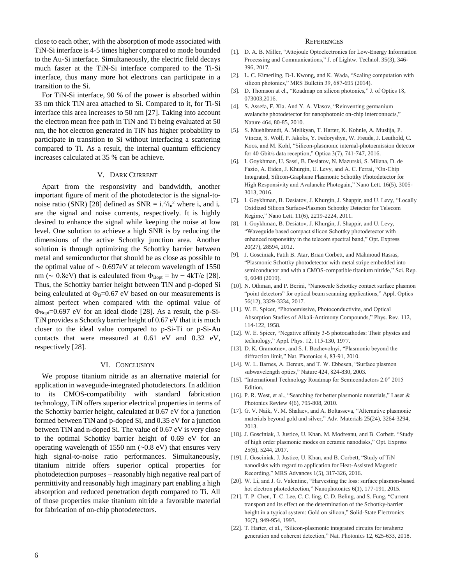close to each other, with the absorption of mode associated with TiN-Si interface is 4-5 times higher compared to mode bounded to the Au-Si interface. Simultaneously, the electric field decays much faster at the TiN-Si interface compared to the Ti-Si interface, thus many more hot electrons can participate in a transition to the Si.

For TiN-Si interface, 90 % of the power is absorbed within 33 nm thick TiN area attached to Si. Compared to it, for Ti-Si interface this area increases to 50 nm [27]. Taking into account the electron mean free path in TiN and Ti being evaluated at 50 nm, the hot electron generated in TiN has higher probability to participate in transition to Si without interfacing a scattering compared to Ti. As a result, the internal quantum efficiency increases calculated at 35 % can be achieve.

# V. DARK CURRENT

Apart from the responsivity and bandwidth, another important figure of merit of the photodetector is the signal-tonoise ratio (SNR) [28] defined as  $SNR = i_s^2/i_n^2$  where  $i_s$  and  $i_n$ are the signal and noise currents, respectively. It is highly desired to enhance the signal while keeping the noise at low level. One solution to achieve a high SNR is by reducing the dimensions of the active Schottky junction area. Another solution is through optimizing the Schottky barrier between metal and semiconductor that should be as close as possible to the optimal value of ∼ 0.697eV at telecom wavelength of 1550 nm ( $\sim 0.8$ eV) that is calculated from  $\Phi_{\text{Bopt}} = h\nu - 4kT/e$  [28]. Thus, the Schottky barrier height between TiN and p-doped Si being calculated at  $\Phi_B = 0.67$  eV based on our measurements is almost perfect when compared with the optimal value of  $\Phi_{\text{Bopt}}$ =0.697 eV for an ideal diode [28]. As a result, the p-Si-TiN provides a Schottky barrier height of 0.67 eV that it is much closer to the ideal value compared to p-Si-Ti or p-Si-Au contacts that were measured at 0.61 eV and 0.32 eV, respectively [28].

### VI. CONCLUSION

We propose titanium nitride as an alternative material for application in waveguide-integrated photodetectors. In addition to its CMOS-compatibility with standard fabrication technology, TiN offers superior electrical properties in terms of the Schottky barrier height, calculated at 0.67 eV for a junction formed between TiN and p-doped Si, and 0.35 eV for a junction between TiN and n-doped Si. The value of 0.67 eV is very close to the optimal Schottky barrier height of 0.69 eV for an operating wavelength of 1550 nm  $(-0.8 \text{ eV})$  that ensures very high signal-to-noise ratio performances. Simultaneously, titanium nitride offers superior optical properties for photodetection purposes – reasonably high negative real part of permittivity and reasonably high imaginary part enabling a high absorption and reduced penetration depth compared to Ti. All of those properties make titanium nitride a favorable material for fabrication of on-chip photodetectors.

# **REFERENCES**

- [1]. D. A. B. Miller, "Attojoule Optoelectronics for Low-Energy Information Processing and Communications," J. of Lightw. Technol. 35(3), 346- 396, 2017.
- [2]. L. C. Kimerling, D-L Kwong, and K. Wada, "Scaling computation with silicon photonics," MRS Bulletin 39, 687-695 (2014).
- [3]. D. Thomson at el., "Roadmap on silicon photonics," J. of Optics 18, 073003,2016.
- [4]. S. Assefa, F. Xia. And Y. A. Vlasov, "Reinventing germanium avalanche photodetector for nanophotonic on-chip interconnects," Nature 464, 80-85, 2010.
- [5]. S. Muehlbrandt, A. Melikyan, T. Harter, K. Kohnle, A. Muslija, P. Vincze, S. Wolf, P. Jakobs, Y. Fedoryshyn, W. Freude, J. Leuthold, C. Koos, and M. Kohl, "Silicon-plasmonic internal-photoemission detector for 40 Gbit/s data reception," Optica 3(7), 741-747, 2016.
- [6]. I. Goykhman, U. Sassi, B. Desiatov, N. Mazurski, S. Milana, D. de Fazio, A. Eiden, J. Khurgin, U. Levy, and A. C. Ferrai, "On-Chip Integrated, Silicon-Graphene Plasmonic Schottky Photodetector for High Responsivity and Avalanche Photogain," Nano Lett. 16(5), 3005- 3013, 2016.
- [7]. I. Goykhman, B. Desiatov, J. Khurgin, J. Shappir, and U. Levy, "Locally Oxidized Silicon Surface-Plasmon Schottky Detector for Telecom Regime," Nano Lett. 11(6), 2219-2224, 2011.
- [8]. I. Goykhman, B. Desiatov, J. Khurgin, J. Shappir, and U. Levy, "Waveguide based compact silicon Schottky photodetector with enhanced responsitity in the telecom spectral band," Opt. Express 20(27), 28594, 2012.
- [9]. J. Gosciniak, Fatih B. Atar, Brian Corbett, and Mahmoud Rasras, "Plasmonic Schottky photodetector with metal stripe embedded into semiconductor and with a CMOS-compatible titanium nitride," Sci. Rep. 9, 6048 (2019).
- [10]. N. Othman, and P. Berini, "Nanoscale Schottky contact surface plasmon "point detectors" for optical beam scanning applications," Appl. Optics 56(12), 3329-3334, 2017.
- [11]. W. E. Spicer, "Photoemissive, Photoconductivite, and Optical Absorption Studies of Alkali-Antimony Compounds," Phys. Rev. 112, 114-122, 1958.
- [12]. W. E. Spicer, "Negative affinity 3-5 photocathodes: Their physics and technology," Appl. Phys. 12, 115-130, 1977.
- [13]. D. K. Gramotnev, and S. I. Bozhevolnyi, "Plasmonic beyond the diffraction limit," Nat. Photonics 4, 83-91, 2010.
- [14]. W. L. Barnes, A. Dereux, and T. W. Ebbesen, "Surface plasmon subwavelength optics," Nature 424, 824-830, 2003.
- [15]. "International Technology Roadmap for Semiconductors 2.0" 2015 Edition.
- [16]. P. R. West, et al., "Searching for better plasmonic materials," Laser & Photonics Review 4(6), 795-808, 2010.
- [17]. G. V. Naik, V. M. Shalaev, and A. Boltasseva, "Alternative plasmonic materials beyond gold and silver," Adv. Materials 25(24), 3264-3294, 2013.
- [18]. J. Gosciniak, J. Justice, U. Khan. M. Modreanu, and B. Corbett. "Study of high order plasmonic modes on ceramic nanodisks," Opt. Express 25(6), 5244, 2017.
- [19]. J. Gosciniak. J. Justice, U. Khan, and B. Corbett, "Study of TiN nanodisks with regard to application for Heat-Assisted Magnetic Recording," MRS Advances 1(5), 317-326, 2016.
- [20]. W. Li, and J. G. Valentine, "Harvesting the loss: surface plasmon-based hot electron photodetection," Nanophotonics 6(1), 177-191, 2015.
- [21]. T. P. Chen, T. C. Lee, C. C. ling, C. D. Beling, and S. Fung, "Current transport and its effect on the determination of the Schottky-barrier height in a typical system: Gold on silicon," Solid-State Electronics 36(7), 949-954, 1993.
- [22]. T. Harter, et al., "Silicon-plasmonic integrated circuits for terahertz generation and coherent detection," Nat. Photonics 12, 625-633, 2018.